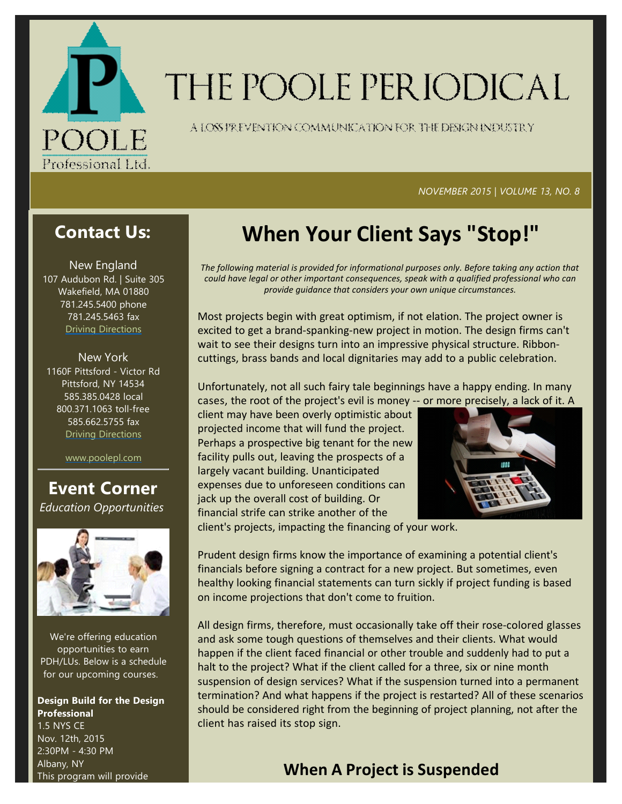

# THE POOLE PERIODICAL

A LOSS FREVENTION COMMUNICATION FOR THE DENGNINDUSTRY

#### *NOVEMBER 2015 | VOLUME 13, NO. 8*

# **Contact Us:**

New England 107 Audubon Rd. | Suite 305 Wakefield, MA 01880 781.245.5400 phone 781.245.5463 fax Driving Directions

New York 1160F Pittsford ‐ Victor Rd Pittsford, NY 14534 585.385.0428 local 800.371.1063 toll‐free 585.662.5755 fax Driving Directions

www.poolepl.com

### **Event Corner** *Education Opportunities*



We're offering education opportunities to earn PDH/LUs. Below is a schedule for our upcoming courses.

#### **Design Build for the Design Professional** 1.5 NYS CE Nov. 12th, 2015 2:30PM ‐ 4:30 PM Albany, NY This program will provide

# **When Your Client Says "Stop!"**

*The following material is provided for informational purposes only. Before taking any action that could have legal or other important consequences, speak with a qualified professional who can provide guidance that considers your own unique circumstances.*

Most projects begin with great optimism, if not elation. The project owner is excited to get a brand‐spanking‐new project in motion. The design firms can't wait to see their designs turn into an impressive physical structure. Ribbon‐ cuttings, brass bands and local dignitaries may add to a public celebration.

Unfortunately, not all such fairy tale beginnings have a happy ending. In many cases, the root of the project's evil is money ‐‐ or more precisely, a lack of it. A

client may have been overly optimistic about projected income that will fund the project. Perhaps a prospective big tenant for the new facility pulls out, leaving the prospects of a largely vacant building. Unanticipated expenses due to unforeseen conditions can jack up the overall cost of building. Or financial strife can strike another of the



client's projects, impacting the financing of your work.

Prudent design firms know the importance of examining a potential client's financials before signing a contract for a new project. But sometimes, even healthy looking financial statements can turn sickly if project funding is based on income projections that don't come to fruition.

All design firms, therefore, must occasionally take off their rose-colored glasses and ask some tough questions of themselves and their clients. What would happen if the client faced financial or other trouble and suddenly had to put a halt to the project? What if the client called for a three, six or nine month suspension of design services? What if the suspension turned into a permanent termination? And what happens if the project is restarted? All of these scenarios should be considered right from the beginning of project planning, not after the client has raised its stop sign.

## **When A Project is Suspended**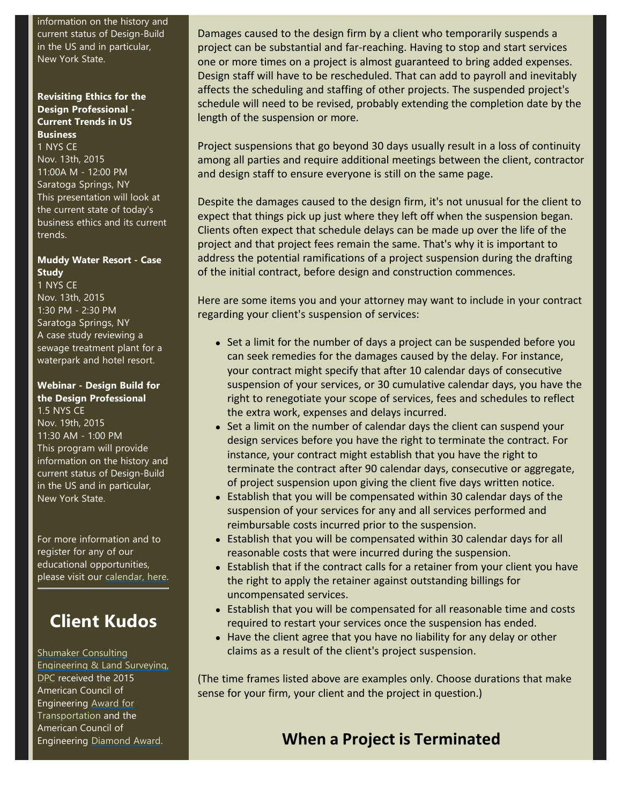information on the history and current status of Design‐Build in the US and in particular, New York State.

#### **Revisiting Ethics for the Design Professional ‐ Current Trends in US Business**

1 NYS CE Nov. 13th, 2015 11:00A M ‐ 12:00 PM Saratoga Springs, NY This presentation will look at the current state of today's business ethics and its current trends.

#### **Muddy Water Resort ‐ Case Study**

1 NYS CE Nov. 13th, 2015 1:30 PM ‐ 2:30 PM Saratoga Springs, NY A case study reviewing a sewage treatment plant for a waterpark and hotel resort.

#### **Webinar ‐ Design Build for the Design Professional** 1.5 NYS CE

Nov. 19th, 2015 11:30 AM ‐ 1:00 PM This program will provide information on the history and current status of Design‐Build in the US and in particular, New York State.

For more information and to register for any of our educational opportunities, please visit our calendar, here.

# **Client Kudos**

Shumaker Consulting Engineering & Land Surveying, DPC received the 2015 American Council of Engineering Award for Transportation and the American Council of Engineering Diamond Award.

Damages caused to the design firm by a client who temporarily suspends a project can be substantial and far‐reaching. Having to stop and start services one or more times on a project is almost guaranteed to bring added expenses. Design staff will have to be rescheduled. That can add to payroll and inevitably affects the scheduling and staffing of other projects. The suspended project's schedule will need to be revised, probably extending the completion date by the length of the suspension or more.

Project suspensions that go beyond 30 days usually result in a loss of continuity among all parties and require additional meetings between the client, contractor and design staff to ensure everyone is still on the same page.

Despite the damages caused to the design firm, it's not unusual for the client to expect that things pick up just where they left off when the suspension began. Clients often expect that schedule delays can be made up over the life of the project and that project fees remain the same. That's why it is important to address the potential ramifications of a project suspension during the drafting of the initial contract, before design and construction commences.

Here are some items you and your attorney may want to include in your contract regarding your client's suspension of services:

- Set a limit for the number of days a project can be suspended before you can seek remedies for the damages caused by the delay. For instance, your contract might specify that after 10 calendar days of consecutive suspension of your services, or 30 cumulative calendar days, you have the right to renegotiate your scope of services, fees and schedules to reflect the extra work, expenses and delays incurred.
- Set a limit on the number of calendar days the client can suspend your design services before you have the right to terminate the contract. For instance, your contract might establish that you have the right to terminate the contract after 90 calendar days, consecutive or aggregate, of project suspension upon giving the client five days written notice.
- Establish that you will be compensated within 30 calendar days of the suspension of your services for any and all services performed and reimbursable costs incurred prior to the suspension.
- Establish that you will be compensated within 30 calendar days for all reasonable costs that were incurred during the suspension.
- Establish that if the contract calls for a retainer from your client you have the right to apply the retainer against outstanding billings for uncompensated services.
- Establish that you will be compensated for all reasonable time and costs required to restart your services once the suspension has ended.
- $\bullet$  Have the client agree that you have no liability for any delay or other claims as a result of the client's project suspension.

(The time frames listed above are examples only. Choose durations that make sense for your firm, your client and the project in question.)

# **When a Project is Terminated**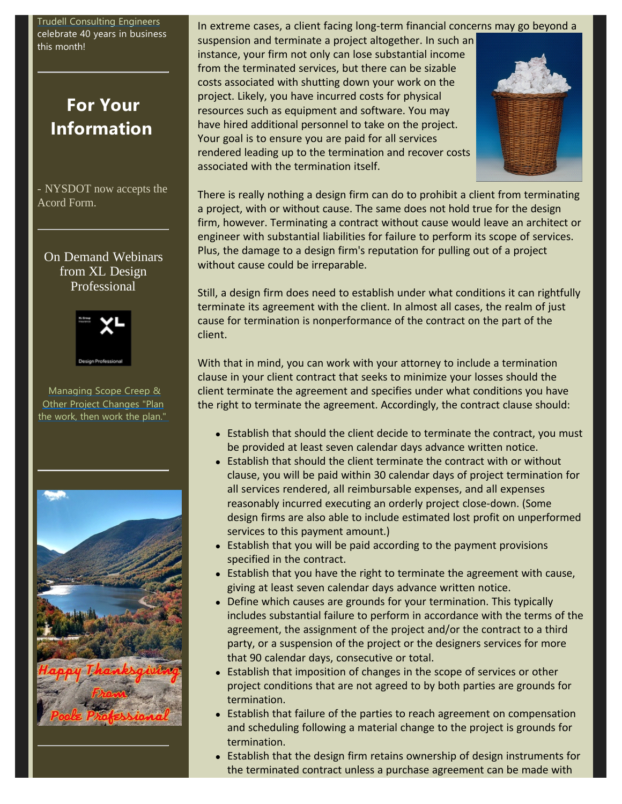Trudell Consulting Engineers celebrate 40 years in business this month!

# **For Your Information**

- NYSDOT now accepts the Acord Form.

On Demand Webinars from XL Design Professional



Managing Scope Creep & Other Project Changes "Plan the work, then work the plan."



In extreme cases, a client facing long‐term financial concerns may go beyond a

suspension and terminate a project altogether. In such an instance, your firm not only can lose substantial income from the terminated services, but there can be sizable costs associated with shutting down your work on the project. Likely, you have incurred costs for physical resources such as equipment and software. You may have hired additional personnel to take on the project. Your goal is to ensure you are paid for all services rendered leading up to the termination and recover costs associated with the termination itself.



There is really nothing a design firm can do to prohibit a client from terminating a project, with or without cause. The same does not hold true for the design firm, however. Terminating a contract without cause would leave an architect or engineer with substantial liabilities for failure to perform its scope of services. Plus, the damage to a design firm's reputation for pulling out of a project without cause could be irreparable.

Still, a design firm does need to establish under what conditions it can rightfully terminate its agreement with the client. In almost all cases, the realm of just cause for termination is nonperformance of the contract on the part of the client.

With that in mind, you can work with your attorney to include a termination clause in your client contract that seeks to minimize your losses should the client terminate the agreement and specifies under what conditions you have the right to terminate the agreement. Accordingly, the contract clause should:

- Establish that should the client decide to terminate the contract, you must be provided at least seven calendar days advance written notice.
- Establish that should the client terminate the contract with or without clause, you will be paid within 30 calendar days of project termination for all services rendered, all reimbursable expenses, and all expenses reasonably incurred executing an orderly project close‐down. (Some design firms are also able to include estimated lost profit on unperformed services to this payment amount.)
- $\bullet$  Establish that you will be paid according to the payment provisions specified in the contract.
- Establish that you have the right to terminate the agreement with cause, giving at least seven calendar days advance written notice.
- Define which causes are grounds for your termination. This typically includes substantial failure to perform in accordance with the terms of the agreement, the assignment of the project and/or the contract to a third party, or a suspension of the project or the designers services for more that 90 calendar days, consecutive or total.
- Establish that imposition of changes in the scope of services or other project conditions that are not agreed to by both parties are grounds for termination.
- Establish that failure of the parties to reach agreement on compensation and scheduling following a material change to the project is grounds for termination.
- Establish that the design firm retains ownership of design instruments for the terminated contract unless a purchase agreement can be made with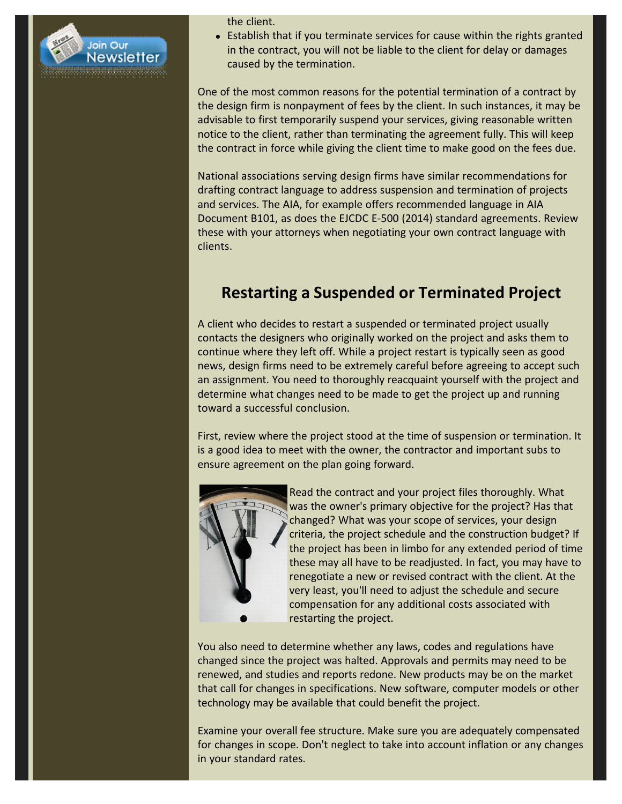

the client.

• Establish that if you terminate services for cause within the rights granted in the contract, you will not be liable to the client for delay or damages caused by the termination.

One of the most common reasons for the potential termination of a contract by the design firm is nonpayment of fees by the client. In such instances, it may be advisable to first temporarily suspend your services, giving reasonable written notice to the client, rather than terminating the agreement fully. This will keep the contract in force while giving the client time to make good on the fees due.

National associations serving design firms have similar recommendations for drafting contract language to address suspension and termination of projects and services. The AIA, for example offers recommended language in AIA Document B101, as does the EJCDC E‐500 (2014) standard agreements. Review these with your attorneys when negotiating your own contract language with clients.

# **Restarting a Suspended or Terminated Project**

A client who decides to restart a suspended or terminated project usually contacts the designers who originally worked on the project and asks them to continue where they left off. While a project restart is typically seen as good news, design firms need to be extremely careful before agreeing to accept such an assignment. You need to thoroughly reacquaint yourself with the project and determine what changes need to be made to get the project up and running toward a successful conclusion.

First, review where the project stood at the time of suspension or termination. It is a good idea to meet with the owner, the contractor and important subs to ensure agreement on the plan going forward.



Read the contract and your project files thoroughly. What was the owner's primary objective for the project? Has that changed? What was your scope of services, your design criteria, the project schedule and the construction budget? If the project has been in limbo for any extended period of time these may all have to be readjusted. In fact, you may have to renegotiate a new or revised contract with the client. At the very least, you'll need to adjust the schedule and secure compensation for any additional costs associated with restarting the project.

You also need to determine whether any laws, codes and regulations have changed since the project was halted. Approvals and permits may need to be renewed, and studies and reports redone. New products may be on the market that call for changes in specifications. New software, computer models or other technology may be available that could benefit the project.

Examine your overall fee structure. Make sure you are adequately compensated for changes in scope. Don't neglect to take into account inflation or any changes in your standard rates.